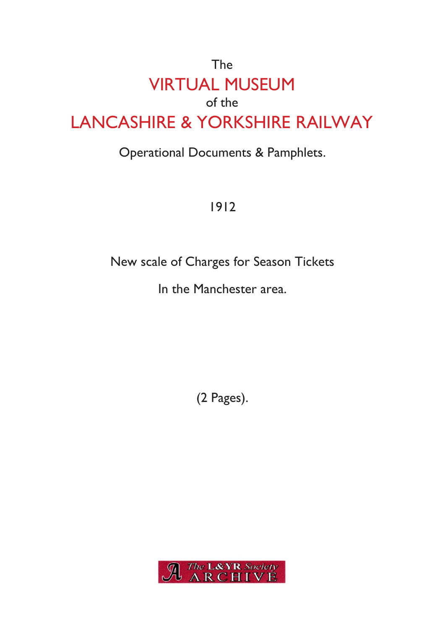# The VIRTUAL MUSEUM of the LANCASHIRE & YORKSHIRE RAILWAY

## Operational Documents & Pamphlets.

1912

New scale of Charges for Season Tickets

In the Manchester area.

(2 Pages).

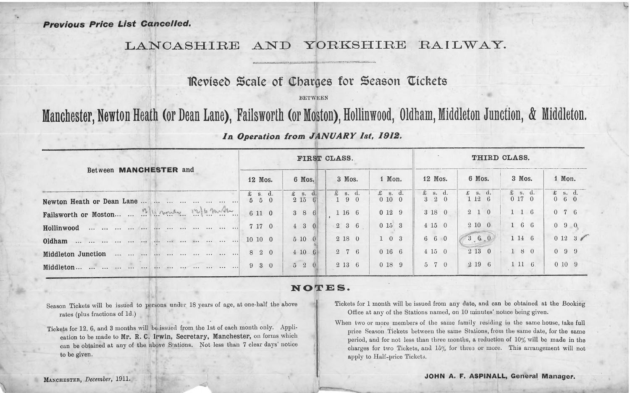### LANCASHIRE AND YORKSHIRE RAILWAY.

## **IRevleeb Scale of Charges for Season tickets**

BETWEEN

# Manchester, Newton Heath (or Dean Lane), Failsworth (or Moston), Hollinwood, Oldham, Middleton Junction, & Middleton.

#### *In Operation from JANUARY 1st, 1912.*

| Between MANCHESTER and                                       | FIRST CLASS.                         |                                        |                             |                         | THIRD CLASS.                   |                         |                         |                                      |
|--------------------------------------------------------------|--------------------------------------|----------------------------------------|-----------------------------|-------------------------|--------------------------------|-------------------------|-------------------------|--------------------------------------|
|                                                              | 12 Mos.                              | 6 Mos.                                 | 3 Mos.                      | 1 Mon.                  | 12 Mos.                        | 6 Mos.                  | 3 Mos.                  | 1 Mon.                               |
| Newton Heath or Dean Lane                                    | $\pounds$ s. d.<br>$5\quad 5\quad 0$ | $\pounds$ s. d.<br>2 15<br>$6^{\circ}$ | $\pounds$ s. d.<br>$-1$ 9 0 | $\pounds$ s. d.<br>0100 | $\pounds$ s. d.<br>$3 \t3 \t0$ | $\pounds$ s. d.<br>1126 | $\pounds$ s. d.<br>0170 | $\pounds$ s. d.<br>$0\quad 6\quad 0$ |
| Failsworth or Moston 12/11 march 12/16 months                | 6 11 0                               | 386                                    | 1 16 6                      | 0129                    | 3180                           | $2\quad1\quad0$         | $1\quad 1\quad 6$       | $0\quad 7\quad 6$                    |
|                                                              | 7 17 0                               | $4 \quad 3 \quad 0$                    | $2\quad 3\quad 6$           | 0153                    | $4\;15\;0$                     | 2100                    | $1\quad 6\quad 6$       | $0\quad 9\quad 0$                    |
| and an end an an an an an an an an an an an<br>Oldham        | 10 10 0                              | 5100                                   | 2 18 0                      | $1\quad0\quad3$         | 660                            | $-36.0$                 | 1 14 6                  |                                      |
| the old off the me and he are the fire<br>Middleton Junction | 8 2 0                                | 410<br>$-6$                            | 2 7 6                       | 0166                    | $4\;15\;0$                     | 2130                    | 180                     | $0\quad 9\quad 9$                    |
| the contract one contract one contract one con-<br>Middleton | 930                                  | $5\quad 2$                             | $2\;13\;6$                  | 0189                    | 5 7 0                          | 2196                    | $1\;11\;6$              | 0109                                 |

#### **<sup>N</sup> <sup>O</sup> <sup>T</sup> <sup>E</sup> <sup>S</sup>.**

Season Tickets will be issued to persons under <sup>18</sup> years of age, at one-half the above rates (plus fractions of Id.)

Tickets for <sup>12</sup>, <sup>6</sup>. and 3 months will be issued from the <sup>1</sup>st of each month only. Application to be made to Mr. R. C. Irwin, Secretary, Manchester, on forms which can be obtained at any of the above Stations. Not less than 7 clear days' notice to be given.

- Tickets for 1 month will be issued from any date, and can be obtained at the Booking Office at any of the Stations named, on 10 minutes' notice being given.
- When two or more members of the same family residing in the same house, take full price Season Tickets between the same Stations, from the same date, for the same period, and for not less than three months, a reduction of  $10\%$  will be made in the charges for two Tickets, and <sup>15</sup>% for three or more. This arrangemen<sup>t</sup> will not apply to Half-price Tickets.

 $\theta$ 

\*L